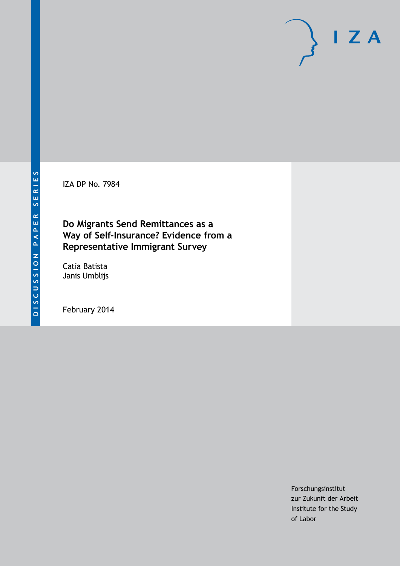IZA DP No. 7984

### **Do Migrants Send Remittances as a Way of Self-Insurance? Evidence from a Representative Immigrant Survey**

Catia Batista Janis Umblijs

February 2014

Forschungsinstitut zur Zukunft der Arbeit Institute for the Study of Labor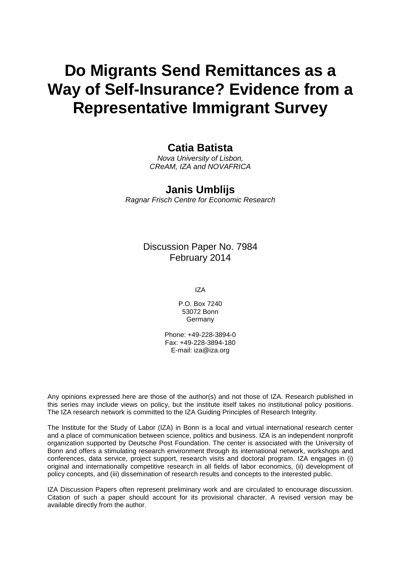# **Do Migrants Send Remittances as a Way of Self-Insurance? Evidence from a Representative Immigrant Survey**

### **Catia Batista**

*Nova University of Lisbon, CReAM, IZA and NOVAFRICA*

### **Janis Umblijs**

*Ragnar Frisch Centre for Economic Research*

Discussion Paper No. 7984 February 2014

IZA

P.O. Box 7240 53072 Bonn **Germany** 

Phone: +49-228-3894-0 Fax: +49-228-3894-180 E-mail: [iza@iza.org](mailto:iza@iza.org)

Any opinions expressed here are those of the author(s) and not those of IZA. Research published in this series may include views on policy, but the institute itself takes no institutional policy positions. The IZA research network is committed to the IZA Guiding Principles of Research Integrity.

The Institute for the Study of Labor (IZA) in Bonn is a local and virtual international research center and a place of communication between science, politics and business. IZA is an independent nonprofit organization supported by Deutsche Post Foundation. The center is associated with the University of Bonn and offers a stimulating research environment through its international network, workshops and conferences, data service, project support, research visits and doctoral program. IZA engages in (i) original and internationally competitive research in all fields of labor economics, (ii) development of policy concepts, and (iii) dissemination of research results and concepts to the interested public.

<span id="page-1-0"></span>IZA Discussion Papers often represent preliminary work and are circulated to encourage discussion. Citation of such a paper should account for its provisional character. A revised version may be available directly from the author.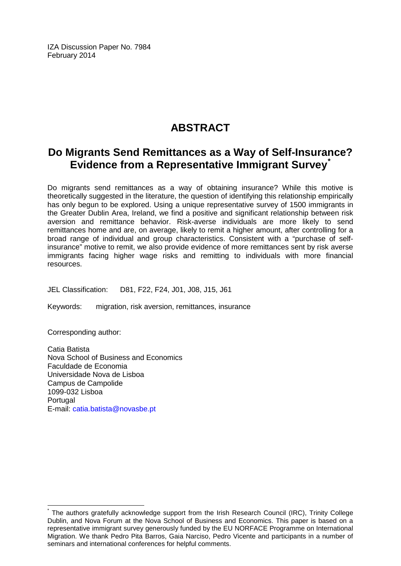IZA Discussion Paper No. 7984 February 2014

## **ABSTRACT**

### **Do Migrants Send Remittances as a Way of Self-Insurance? Evidence from a Representative Immigrant Survey[\\*](#page-1-0)**

Do migrants send remittances as a way of obtaining insurance? While this motive is theoretically suggested in the literature, the question of identifying this relationship empirically has only begun to be explored. Using a unique representative survey of 1500 immigrants in the Greater Dublin Area, Ireland, we find a positive and significant relationship between risk aversion and remittance behavior. Risk-averse individuals are more likely to send remittances home and are, on average, likely to remit a higher amount, after controlling for a broad range of individual and group characteristics. Consistent with a "purchase of selfinsurance" motive to remit, we also provide evidence of more remittances sent by risk averse immigrants facing higher wage risks and remitting to individuals with more financial resources.

JEL Classification: D81, F22, F24, J01, J08, J15, J61

Keywords: migration, risk aversion, remittances, insurance

Corresponding author:

Catia Batista Nova School of Business and Economics Faculdade de Economia Universidade Nova de Lisboa Campus de Campolide 1099-032 Lisboa **Portugal** E-mail: [catia.batista@novasbe.pt](mailto:catia.batista@novasbe.pt)

The authors gratefully acknowledge support from the Irish Research Council (IRC), Trinity College Dublin, and Nova Forum at the Nova School of Business and Economics. This paper is based on a representative immigrant survey generously funded by the EU NORFACE Programme on International Migration. We thank Pedro Pita Barros, Gaia Narciso, Pedro Vicente and participants in a number of seminars and international conferences for helpful comments.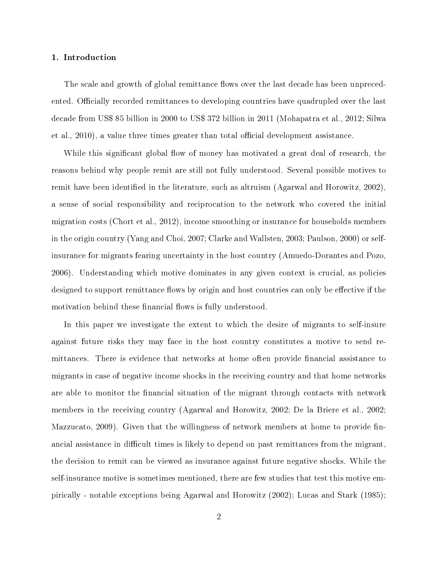#### 1. Introduction

The scale and growth of global remittance flows over the last decade has been unprecedented. Officially recorded remittances to developing countries have quadrupled over the last decade from US\$ 85 billion in 2000 to US\$ 372 billion in 2011 (Mohapatra et al., 2012; Silwa et al., 2010), a value three times greater than total official development assistance.

While this significant global flow of money has motivated a great deal of research, the reasons behind why people remit are still not fully understood. Several possible motives to remit have been identified in the literature, such as altruism (Agarwal and Horowitz, 2002), a sense of social responsibility and reciprocation to the network who covered the initial migration costs (Chort et al., 2012), income smoothing or insurance for households members in the origin country (Yang and Choi, 2007; Clarke and Wallsten, 2003; Paulson, 2000) or selfinsurance for migrants fearing uncertainty in the host country (Amuedo-Dorantes and Pozo, 2006). Understanding which motive dominates in any given context is crucial, as policies designed to support remittance flows by origin and host countries can only be effective if the motivation behind these financial flows is fully understood.

In this paper we investigate the extent to which the desire of migrants to self-insure against future risks they may face in the host country constitutes a motive to send remittances. There is evidence that networks at home often provide financial assistance to migrants in case of negative income shocks in the receiving country and that home networks are able to monitor the financial situation of the migrant through contacts with network members in the receiving country (Agarwal and Horowitz, 2002; De la Briere et al., 2002; Mazzucato, 2009). Given that the willingness of network members at home to provide financial assistance in difficult times is likely to depend on past remittances from the migrant, the decision to remit can be viewed as insurance against future negative shocks. While the self-insurance motive is sometimes mentioned, there are few studies that test this motive empirically - notable exceptions being Agarwal and Horowitz (2002); Lucas and Stark (1985);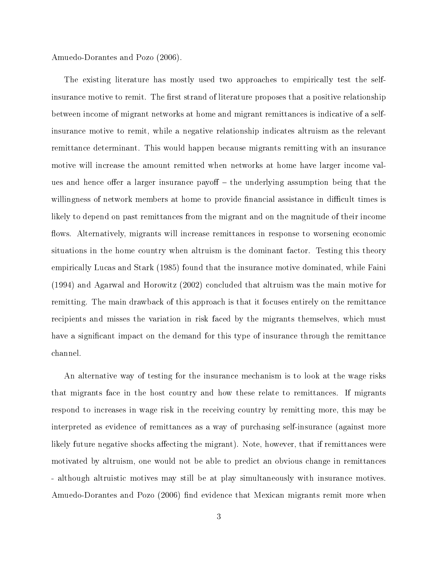Amuedo-Dorantes and Pozo (2006).

The existing literature has mostly used two approaches to empirically test the selfinsurance motive to remit. The first strand of literature proposes that a positive relationship between income of migrant networks at home and migrant remittances is indicative of a selfinsurance motive to remit, while a negative relationship indicates altruism as the relevant remittance determinant. This would happen because migrants remitting with an insurance motive will increase the amount remitted when networks at home have larger income values and hence offer a larger insurance payoff  $-$  the underlying assumption being that the willingness of network members at home to provide financial assistance in difficult times is likely to depend on past remittances from the migrant and on the magnitude of their income flows. Alternatively, migrants will increase remittances in response to worsening economic situations in the home country when altruism is the dominant factor. Testing this theory empirically Lucas and Stark (1985) found that the insurance motive dominated, while Faini (1994) and Agarwal and Horowitz (2002) concluded that altruism was the main motive for remitting. The main drawback of this approach is that it focuses entirely on the remittance recipients and misses the variation in risk faced by the migrants themselves, which must have a significant impact on the demand for this type of insurance through the remittance channel.

An alternative way of testing for the insurance mechanism is to look at the wage risks that migrants face in the host country and how these relate to remittances. If migrants respond to increases in wage risk in the receiving country by remitting more, this may be interpreted as evidence of remittances as a way of purchasing self-insurance (against more likely future negative shocks affecting the migrant). Note, however, that if remittances were motivated by altruism, one would not be able to predict an obvious change in remittances - although altruistic motives may still be at play simultaneously with insurance motives. Amuedo-Dorantes and Pozo (2006) find evidence that Mexican migrants remit more when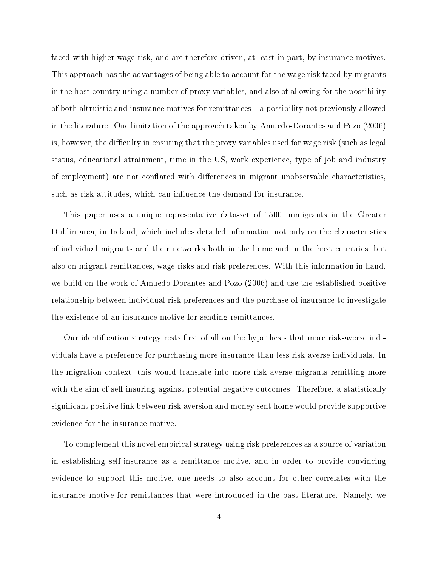faced with higher wage risk, and are therefore driven, at least in part, by insurance motives. This approach has the advantages of being able to account for the wage risk faced by migrants in the host country using a number of proxy variables, and also of allowing for the possibility of both altruistic and insurance motives for remittances a possibility not previously allowed in the literature. One limitation of the approach taken by Amuedo-Dorantes and Pozo (2006) is, however, the difficulty in ensuring that the proxy variables used for wage risk (such as legal status, educational attainment, time in the US, work experience, type of job and industry of employment) are not conflated with differences in migrant unobservable characteristics. such as risk attitudes, which can influence the demand for insurance.

This paper uses a unique representative data-set of 1500 immigrants in the Greater Dublin area, in Ireland, which includes detailed information not only on the characteristics of individual migrants and their networks both in the home and in the host countries, but also on migrant remittances, wage risks and risk preferences. With this information in hand, we build on the work of Amuedo-Dorantes and Pozo (2006) and use the established positive relationship between individual risk preferences and the purchase of insurance to investigate the existence of an insurance motive for sending remittances.

Our identification strategy rests first of all on the hypothesis that more risk-averse individuals have a preference for purchasing more insurance than less risk-averse individuals. In the migration context, this would translate into more risk averse migrants remitting more with the aim of self-insuring against potential negative outcomes. Therefore, a statistically significant positive link between risk aversion and money sent home would provide supportive evidence for the insurance motive.

To complement this novel empirical strategy using risk preferences as a source of variation in establishing self-insurance as a remittance motive, and in order to provide convincing evidence to support this motive, one needs to also account for other correlates with the insurance motive for remittances that were introduced in the past literature. Namely, we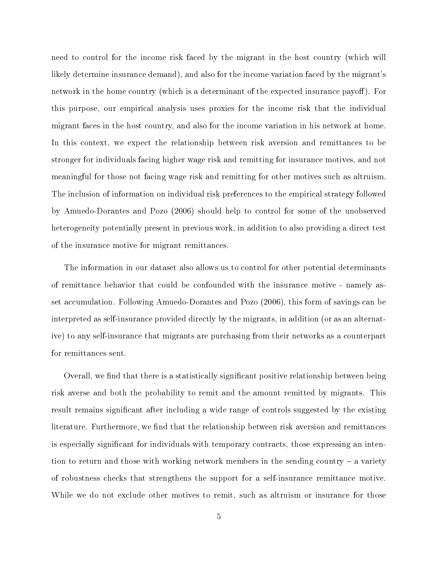need to control for the income risk faced by the migrant in the host country (which will likely determine insurance demand), and also for the income variation faced by the migrant's network in the home country (which is a determinant of the expected insurance payoff). For this purpose, our empirical analysis uses proxies for the income risk that the individual migrant faces in the host country, and also for the income variation in his network at home. In this context, we expect the relationship between risk aversion and remittances to be stronger for individuals facing higher wage risk and remitting for insurance motives, and not meaningful for those not facing wage risk and remitting for other motives such as altruism. The inclusion of information on individual risk preferences to the empirical strategy followed by Amuedo-Dorantes and Pozo (2006) should help to control for some of the unobserved heterogeneity potentially present in previous work, in addition to also providing a direct test of the insurance motive for migrant remittances.

The information in our dataset also allows us to control for other potential determinants of remittance behavior that could be confounded with the insurance motive - namely asset accumulation. Following Amuedo-Dorantes and Pozo (2006), this form of savings can be interpreted as self-insurance provided directly by the migrants, in addition (or as an alternative) to any self-insurance that migrants are purchasing from their networks as a counterpart for remittances sent.

Overall, we find that there is a statistically significant positive relationship between being risk averse and both the probability to remit and the amount remitted by migrants. This result remains significant after including a wide range of controls suggested by the existing literature. Furthermore, we find that the relationship between risk aversion and remittances is especially significant for individuals with temporary contracts, those expressing an intention to return and those with working network members in the sending country  $-$  a variety of robustness checks that strengthens the support for a self-insurance remittance motive. While we do not exclude other motives to remit, such as altruism or insurance for those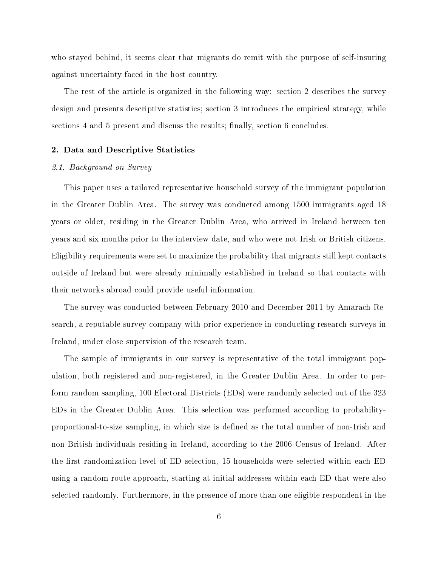who stayed behind, it seems clear that migrants do remit with the purpose of self-insuring against uncertainty faced in the host country.

The rest of the article is organized in the following way: section 2 describes the survey design and presents descriptive statistics; section 3 introduces the empirical strategy, while sections 4 and 5 present and discuss the results; finally, section 6 concludes.

#### 2. Data and Descriptive Statistics

#### 2.1. Background on Survey

This paper uses a tailored representative household survey of the immigrant population in the Greater Dublin Area. The survey was conducted among 1500 immigrants aged 18 years or older, residing in the Greater Dublin Area, who arrived in Ireland between ten years and six months prior to the interview date, and who were not Irish or British citizens. Eligibility requirements were set to maximize the probability that migrants still kept contacts outside of Ireland but were already minimally established in Ireland so that contacts with their networks abroad could provide useful information.

The survey was conducted between February 2010 and December 2011 by Amarach Research, a reputable survey company with prior experience in conducting research surveys in Ireland, under close supervision of the research team.

The sample of immigrants in our survey is representative of the total immigrant population, both registered and non-registered, in the Greater Dublin Area. In order to perform random sampling, 100 Electoral Districts (EDs) were randomly selected out of the 323 EDs in the Greater Dublin Area. This selection was performed according to probabilityproportional-to-size sampling, in which size is defined as the total number of non-Irish and non-British individuals residing in Ireland, according to the 2006 Census of Ireland. After the first randomization level of ED selection, 15 households were selected within each ED using a random route approach, starting at initial addresses within each ED that were also selected randomly. Furthermore, in the presence of more than one eligible respondent in the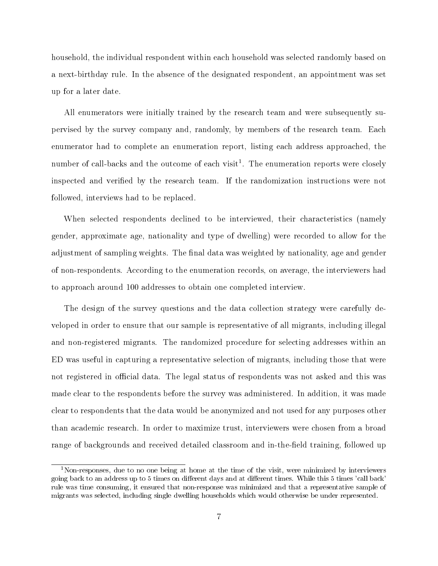household, the individual respondent within each household was selected randomly based on a next-birthday rule. In the absence of the designated respondent, an appointment was set up for a later date.

All enumerators were initially trained by the research team and were subsequently supervised by the survey company and, randomly, by members of the research team. Each enumerator had to complete an enumeration report, listing each address approached, the number of call-backs and the outcome of each visit<sup>1</sup>. The enumeration reports were closely inspected and verified by the research team. If the randomization instructions were not followed, interviews had to be replaced.

When selected respondents declined to be interviewed, their characteristics (namely gender, approximate age, nationality and type of dwelling) were recorded to allow for the adjustment of sampling weights. The final data was weighted by nationality, age and gender of non-respondents. According to the enumeration records, on average, the interviewers had to approach around 100 addresses to obtain one completed interview.

The design of the survey questions and the data collection strategy were carefully developed in order to ensure that our sample is representative of all migrants, including illegal and non-registered migrants. The randomized procedure for selecting addresses within an ED was useful in capturing a representative selection of migrants, including those that were not registered in official data. The legal status of respondents was not asked and this was made clear to the respondents before the survey was administered. In addition, it was made clear to respondents that the data would be anonymized and not used for any purposes other than academic research. In order to maximize trust, interviewers were chosen from a broad range of backgrounds and received detailed classroom and in-the-field training, followed up

<sup>&</sup>lt;sup>1</sup>Non-responses, due to no one being at home at the time of the visit, were minimized by interviewers going back to an address up to 5 times on different days and at different times. While this 5 times 'call back' rule was time consuming, it ensured that non-response was minimized and that a representative sample of migrants was selected, including single dwelling households which would otherwise be under represented.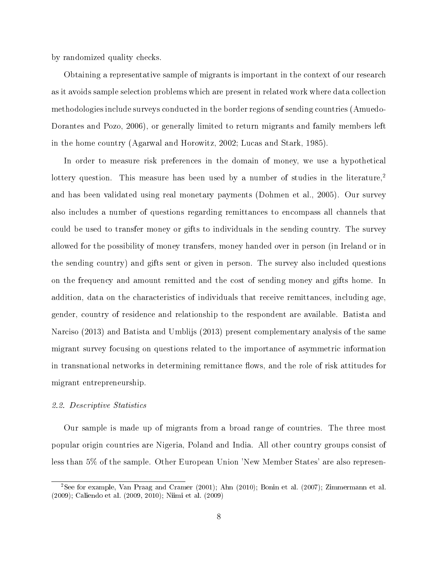by randomized quality checks.

Obtaining a representative sample of migrants is important in the context of our research as it avoids sample selection problems which are present in related work where data collection methodologies include surveys conducted in the border regions of sending countries (Amuedo-Dorantes and Pozo, 2006), or generally limited to return migrants and family members left in the home country (Agarwal and Horowitz, 2002; Lucas and Stark, 1985).

In order to measure risk preferences in the domain of money, we use a hypothetical lottery question. This measure has been used by a number of studies in the literature,<sup>2</sup> and has been validated using real monetary payments (Dohmen et al., 2005). Our survey also includes a number of questions regarding remittances to encompass all channels that could be used to transfer money or gifts to individuals in the sending country. The survey allowed for the possibility of money transfers, money handed over in person (in Ireland or in the sending country) and gifts sent or given in person. The survey also included questions on the frequency and amount remitted and the cost of sending money and gifts home. In addition, data on the characteristics of individuals that receive remittances, including age, gender, country of residence and relationship to the respondent are available. Batista and Narciso (2013) and Batista and Umblijs (2013) present complementary analysis of the same migrant survey focusing on questions related to the importance of asymmetric information in transnational networks in determining remittance flows, and the role of risk attitudes for migrant entrepreneurship.

#### 2.2. Descriptive Statistics

Our sample is made up of migrants from a broad range of countries. The three most popular origin countries are Nigeria, Poland and India. All other country groups consist of less than 5% of the sample. Other European Union 'New Member States' are also represen-

<sup>2</sup>See for example, Van Praag and Cramer (2001); Ahn (2010); Bonin et al. (2007); Zimmermann et al. (2009); Caliendo et al. (2009, 2010); Niimi et al. (2009)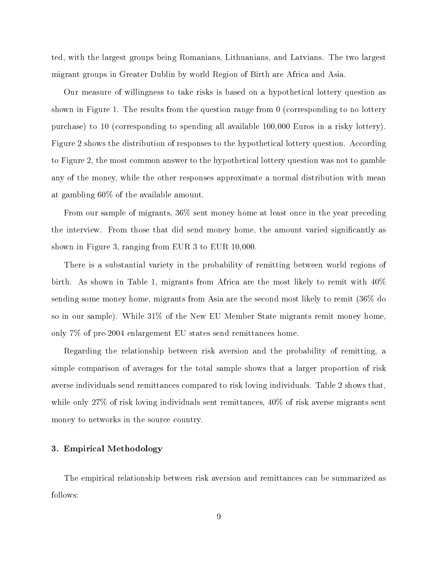ted, with the largest groups being Romanians, Lithuanians, and Latvians. The two largest migrant groups in Greater Dublin by world Region of Birth are Africa and Asia.

Our measure of willingness to take risks is based on a hypothetical lottery question as shown in Figure 1. The results from the question range from 0 (corresponding to no lottery purchase) to 10 (corresponding to spending all available 100,000 Euros in a risky lottery). Figure 2 shows the distribution of responses to the hypothetical lottery question. According to Figure 2, the most common answer to the hypothetical lottery question was not to gamble any of the money, while the other responses approximate a normal distribution with mean at gambling 60% of the available amount.

From our sample of migrants, 36% sent money home at least once in the year preceding the interview. From those that did send money home, the amount varied signicantly as shown in Figure 3, ranging from EUR 3 to EUR 10,000.

There is a substantial variety in the probability of remitting between world regions of birth. As shown in Table 1, migrants from Africa are the most likely to remit with 40% sending some money home, migrants from Asia are the second most likely to remit (36% do so in our sample). While 31% of the New EU Member State migrants remit money home, only 7% of pre-2004 enlargement EU states send remittances home.

Regarding the relationship between risk aversion and the probability of remitting, a simple comparison of averages for the total sample shows that a larger proportion of risk averse individuals send remittances compared to risk loving individuals. Table 2 shows that, while only 27% of risk loving individuals sent remittances, 40% of risk averse migrants sent money to networks in the source country.

#### 3. Empirical Methodology

The empirical relationship between risk aversion and remittances can be summarized as follows: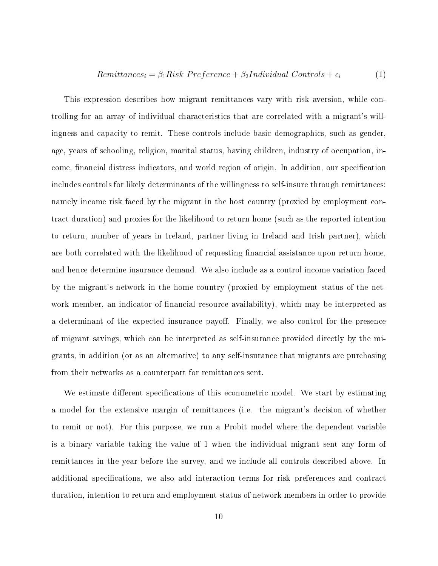#### $Remittances_i = \beta_1Risk Preference + \beta_2Individual\ Controls + \epsilon_i$  (1)

This expression describes how migrant remittances vary with risk aversion, while controlling for an array of individual characteristics that are correlated with a migrant's willingness and capacity to remit. These controls include basic demographics, such as gender, age, years of schooling, religion, marital status, having children, industry of occupation, income, financial distress indicators, and world region of origin. In addition, our specification includes controls for likely determinants of the willingness to self-insure through remittances: namely income risk faced by the migrant in the host country (proxied by employment contract duration) and proxies for the likelihood to return home (such as the reported intention to return, number of years in Ireland, partner living in Ireland and Irish partner), which are both correlated with the likelihood of requesting financial assistance upon return home. and hence determine insurance demand. We also include as a control income variation faced by the migrant's network in the home country (proxied by employment status of the network member, an indicator of financial resource availability), which may be interpreted as a determinant of the expected insurance payoff. Finally, we also control for the presence of migrant savings, which can be interpreted as self-insurance provided directly by the migrants, in addition (or as an alternative) to any self-insurance that migrants are purchasing from their networks as a counterpart for remittances sent.

We estimate different specifications of this econometric model. We start by estimating a model for the extensive margin of remittances (i.e. the migrant's decision of whether to remit or not). For this purpose, we run a Probit model where the dependent variable is a binary variable taking the value of 1 when the individual migrant sent any form of remittances in the year before the survey, and we include all controls described above. In additional specifications, we also add interaction terms for risk preferences and contract duration, intention to return and employment status of network members in order to provide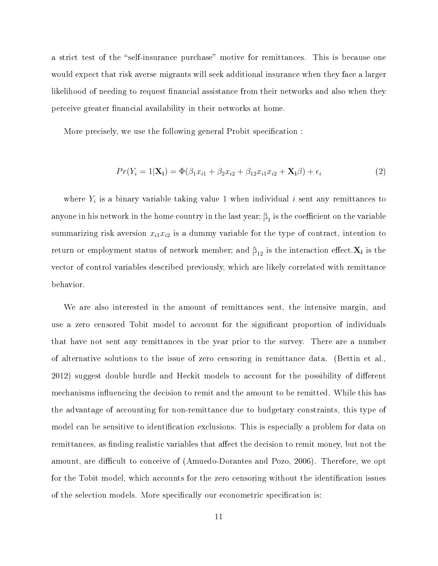a strict test of the "self-insurance purchase" motive for remittances. This is because one would expect that risk averse migrants will seek additional insurance when they face a larger likelihood of needing to request financial assistance from their networks and also when they perceive greater nancial availability in their networks at home.

More precisely, we use the following general Probit specification :

$$
Pr(Y_i = 1 | \mathbf{X_i}) = \Phi(\beta_1 x_{i1} + \beta_2 x_{i2} + \beta_{12} x_{i1} x_{i2} + \mathbf{X_i}\beta) + \epsilon_i
$$
\n(2)

where  $Y_i$  is a binary variable taking value 1 when individual i sent any remittances to anyone in his network in the home country in the last year;  $\beta_1$  is the coefficient on the variable summarizing risk aversion  $x_{i1}x_{i2}$  is a dummy variable for the type of contract, intention to return or employment status of network member; and  $\beta_{12}$  is the interaction effect. $\mathbf{X_{i}}$  is the vector of control variables described previously, which are likely correlated with remittance behavior.

We are also interested in the amount of remittances sent, the intensive margin, and use a zero censored Tobit model to account for the significant proportion of individuals that have not sent any remittances in the year prior to the survey. There are a number of alternative solutions to the issue of zero censoring in remittance data. (Bettin et al., 2012) suggest double hurdle and Heckit models to account for the possibility of different mechanisms influencing the decision to remit and the amount to be remitted. While this has the advantage of accounting for non-remittance due to budgetary constraints, this type of model can be sensitive to identification exclusions. This is especially a problem for data on remittances, as finding realistic variables that affect the decision to remit money, but not the amount, are difficult to conceive of (Amuedo-Dorantes and Pozo, 2006). Therefore, we opt for the Tobit model, which accounts for the zero censoring without the identification issues of the selection models. More specifically our econometric specification is: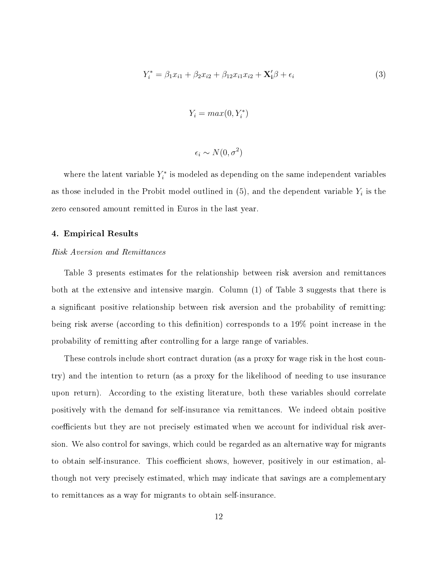$$
Y_i^* = \beta_1 x_{i1} + \beta_2 x_{i2} + \beta_{12} x_{i1} x_{i2} + \mathbf{X}_i' \beta + \epsilon_i
$$
 (3)

$$
Y_i = \max(0, Y_i^*)
$$

$$
\epsilon_i \sim N(0, \sigma^2)
$$

where the latent variable  $Y_i^*$  is modeled as depending on the same independent variables as those included in the Probit model outlined in (5), and the dependent variable  $Y_i$  is the zero censored amount remitted in Euros in the last year.

#### 4. Empirical Results

#### Risk Aversion and Remittances

Table 3 presents estimates for the relationship between risk aversion and remittances both at the extensive and intensive margin. Column (1) of Table 3 suggests that there is a signicant positive relationship between risk aversion and the probability of remitting: being risk averse (according to this definition) corresponds to a 19% point increase in the probability of remitting after controlling for a large range of variables.

These controls include short contract duration (as a proxy for wage risk in the host country) and the intention to return (as a proxy for the likelihood of needing to use insurance upon return). According to the existing literature, both these variables should correlate positively with the demand for self-insurance via remittances. We indeed obtain positive coefficients but they are not precisely estimated when we account for individual risk aversion. We also control for savings, which could be regarded as an alternative way for migrants to obtain self-insurance. This coefficient shows, however, positively in our estimation, although not very precisely estimated, which may indicate that savings are a complementary to remittances as a way for migrants to obtain self-insurance.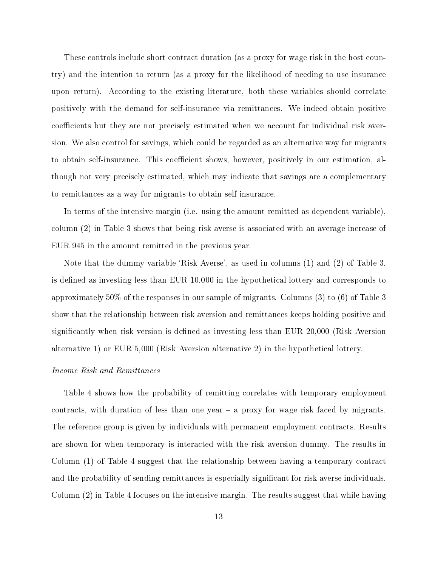These controls include short contract duration (as a proxy for wage risk in the host country) and the intention to return (as a proxy for the likelihood of needing to use insurance upon return). According to the existing literature, both these variables should correlate positively with the demand for self-insurance via remittances. We indeed obtain positive coefficients but they are not precisely estimated when we account for individual risk aversion. We also control for savings, which could be regarded as an alternative way for migrants to obtain self-insurance. This coefficient shows, however, positively in our estimation, although not very precisely estimated, which may indicate that savings are a complementary to remittances as a way for migrants to obtain self-insurance.

In terms of the intensive margin (i.e. using the amount remitted as dependent variable), column (2) in Table 3 shows that being risk averse is associated with an average increase of EUR 945 in the amount remitted in the previous year.

Note that the dummy variable 'Risk Averse', as used in columns (1) and (2) of Table 3, is defined as investing less than EUR 10,000 in the hypothetical lottery and corresponds to approximately 50% of the responses in our sample of migrants. Columns (3) to (6) of Table 3 show that the relationship between risk aversion and remittances keeps holding positive and significantly when risk version is defined as investing less than EUR 20,000 (Risk Aversion alternative 1) or EUR 5,000 (Risk Aversion alternative 2) in the hypothetical lottery.

#### Income Risk and Remittances

Table 4 shows how the probability of remitting correlates with temporary employment contracts, with duration of less than one year  $-$  a proxy for wage risk faced by migrants. The reference group is given by individuals with permanent employment contracts. Results are shown for when temporary is interacted with the risk aversion dummy. The results in Column (1) of Table 4 suggest that the relationship between having a temporary contract and the probability of sending remittances is especially significant for risk averse individuals. Column (2) in Table 4 focuses on the intensive margin. The results suggest that while having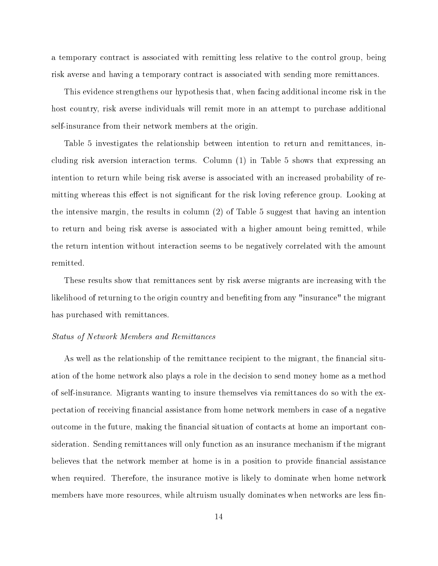a temporary contract is associated with remitting less relative to the control group, being risk averse and having a temporary contract is associated with sending more remittances.

This evidence strengthens our hypothesis that, when facing additional income risk in the host country, risk averse individuals will remit more in an attempt to purchase additional self-insurance from their network members at the origin.

Table 5 investigates the relationship between intention to return and remittances, including risk aversion interaction terms. Column (1) in Table 5 shows that expressing an intention to return while being risk averse is associated with an increased probability of remitting whereas this effect is not significant for the risk loving reference group. Looking at the intensive margin, the results in column (2) of Table 5 suggest that having an intention to return and being risk averse is associated with a higher amount being remitted, while the return intention without interaction seems to be negatively correlated with the amount remitted.

These results show that remittances sent by risk averse migrants are increasing with the likelihood of returning to the origin country and beneting from any "insurance" the migrant has purchased with remittances.

#### Status of Network Members and Remittances

As well as the relationship of the remittance recipient to the migrant, the financial situation of the home network also plays a role in the decision to send money home as a method of self-insurance. Migrants wanting to insure themselves via remittances do so with the expectation of receiving financial assistance from home network members in case of a negative outcome in the future, making the financial situation of contacts at home an important consideration. Sending remittances will only function as an insurance mechanism if the migrant believes that the network member at home is in a position to provide financial assistance when required. Therefore, the insurance motive is likely to dominate when home network members have more resources, while altruism usually dominates when networks are less fin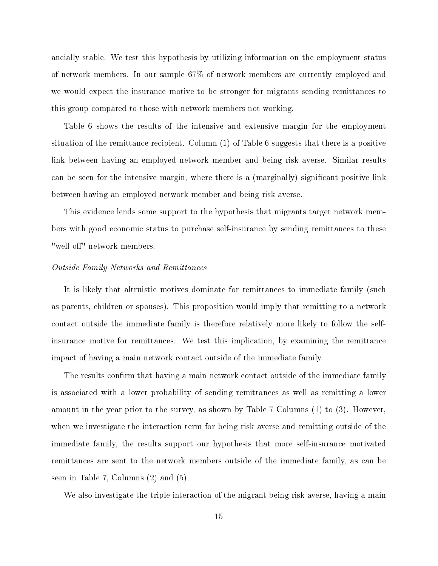ancially stable. We test this hypothesis by utilizing information on the employment status of network members. In our sample 67% of network members are currently employed and we would expect the insurance motive to be stronger for migrants sending remittances to this group compared to those with network members not working.

Table 6 shows the results of the intensive and extensive margin for the employment situation of the remittance recipient. Column (1) of Table 6 suggests that there is a positive link between having an employed network member and being risk averse. Similar results can be seen for the intensive margin, where there is a (marginally) significant positive link between having an employed network member and being risk averse.

This evidence lends some support to the hypothesis that migrants target network members with good economic status to purchase self-insurance by sending remittances to these "well-off" network members.

#### Outside Family Networks and Remittances

It is likely that altruistic motives dominate for remittances to immediate family (such as parents, children or spouses). This proposition would imply that remitting to a network contact outside the immediate family is therefore relatively more likely to follow the selfinsurance motive for remittances. We test this implication, by examining the remittance impact of having a main network contact outside of the immediate family.

The results confirm that having a main network contact outside of the immediate family is associated with a lower probability of sending remittances as well as remitting a lower amount in the year prior to the survey, as shown by Table 7 Columns (1) to (3). However, when we investigate the interaction term for being risk averse and remitting outside of the immediate family, the results support our hypothesis that more self-insurance motivated remittances are sent to the network members outside of the immediate family, as can be seen in Table 7, Columns (2) and (5).

We also investigate the triple interaction of the migrant being risk averse, having a main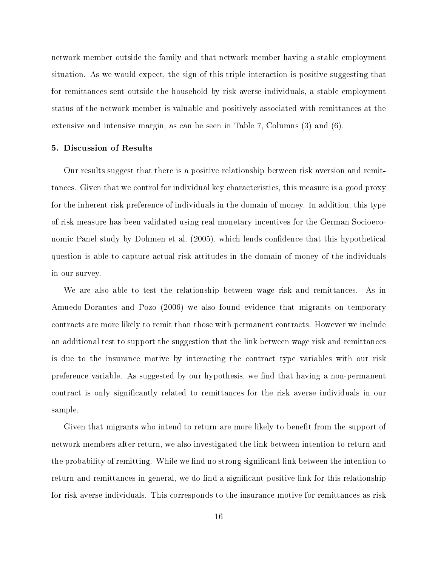network member outside the family and that network member having a stable employment situation. As we would expect, the sign of this triple interaction is positive suggesting that for remittances sent outside the household by risk averse individuals, a stable employment status of the network member is valuable and positively associated with remittances at the extensive and intensive margin, as can be seen in Table 7, Columns (3) and (6).

#### 5. Discussion of Results

Our results suggest that there is a positive relationship between risk aversion and remittances. Given that we control for individual key characteristics, this measure is a good proxy for the inherent risk preference of individuals in the domain of money. In addition, this type of risk measure has been validated using real monetary incentives for the German Socioeconomic Panel study by Dohmen et al. (2005), which lends condence that this hypothetical question is able to capture actual risk attitudes in the domain of money of the individuals in our survey.

We are also able to test the relationship between wage risk and remittances. As in Amuedo-Dorantes and Pozo (2006) we also found evidence that migrants on temporary contracts are more likely to remit than those with permanent contracts. However we include an additional test to support the suggestion that the link between wage risk and remittances is due to the insurance motive by interacting the contract type variables with our risk preference variable. As suggested by our hypothesis, we find that having a non-permanent contract is only signicantly related to remittances for the risk averse individuals in our sample.

Given that migrants who intend to return are more likely to benefit from the support of network members after return, we also investigated the link between intention to return and the probability of remitting. While we find no strong significant link between the intention to return and remittances in general, we do find a significant positive link for this relationship for risk averse individuals. This corresponds to the insurance motive for remittances as risk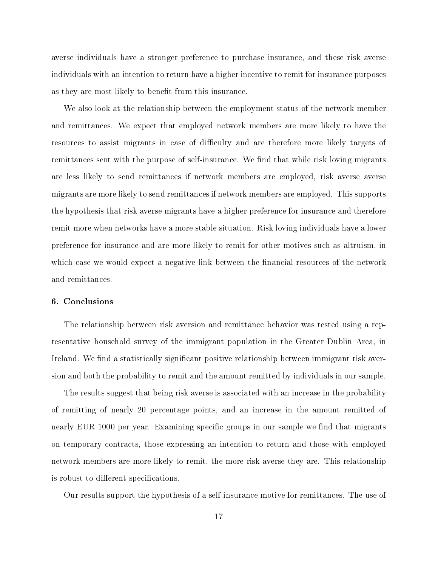averse individuals have a stronger preference to purchase insurance, and these risk averse individuals with an intention to return have a higher incentive to remit for insurance purposes as they are most likely to benefit from this insurance.

We also look at the relationship between the employment status of the network member and remittances. We expect that employed network members are more likely to have the resources to assist migrants in case of difficulty and are therefore more likely targets of remittances sent with the purpose of self-insurance. We find that while risk loving migrants are less likely to send remittances if network members are employed, risk averse averse migrants are more likely to send remittances if network members are employed. This supports the hypothesis that risk averse migrants have a higher preference for insurance and therefore remit more when networks have a more stable situation. Risk loving individuals have a lower preference for insurance and are more likely to remit for other motives such as altruism, in which case we would expect a negative link between the financial resources of the network and remittances.

#### 6. Conclusions

The relationship between risk aversion and remittance behavior was tested using a representative household survey of the immigrant population in the Greater Dublin Area, in Ireland. We find a statistically significant positive relationship between immigrant risk aversion and both the probability to remit and the amount remitted by individuals in our sample.

The results suggest that being risk averse is associated with an increase in the probability of remitting of nearly 20 percentage points, and an increase in the amount remitted of nearly EUR 1000 per year. Examining specific groups in our sample we find that migrants on temporary contracts, those expressing an intention to return and those with employed network members are more likely to remit, the more risk averse they are. This relationship is robust to different specifications.

Our results support the hypothesis of a self-insurance motive for remittances. The use of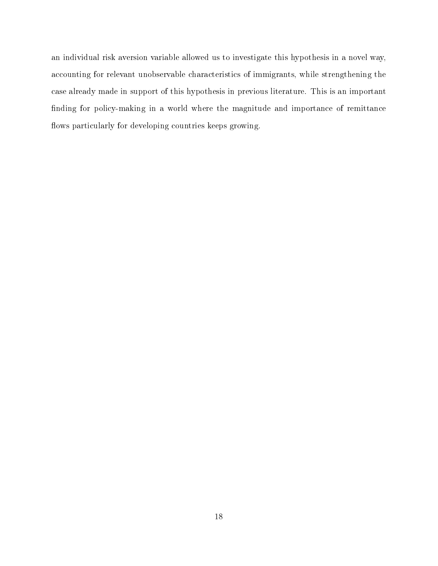an individual risk aversion variable allowed us to investigate this hypothesis in a novel way, accounting for relevant unobservable characteristics of immigrants, while strengthening the case already made in support of this hypothesis in previous literature. This is an important nding for policy-making in a world where the magnitude and importance of remittance flows particularly for developing countries keeps growing.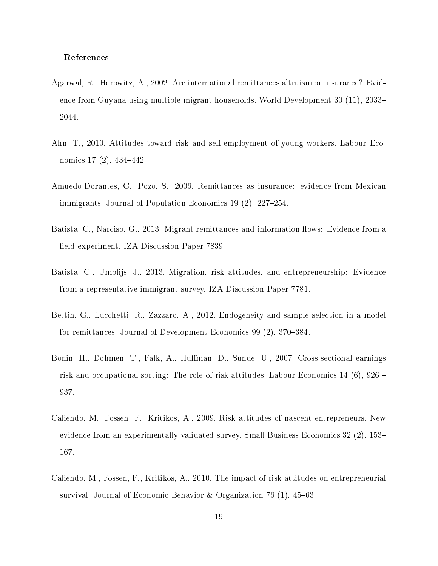#### References

- Agarwal, R., Horowitz, A., 2002. Are international remittances altruism or insurance? Evidence from Guyana using multiple-migrant households. World Development 30 (11), 2033 2044.
- Ahn, T., 2010. Attitudes toward risk and self-employment of young workers. Labour Economics  $17(2)$ ,  $434-442$ .
- Amuedo-Dorantes, C., Pozo, S., 2006. Remittances as insurance: evidence from Mexican immigrants. Journal of Population Economics 19 $(2)$ , 227–254.
- Batista, C., Narciso, G., 2013. Migrant remittances and information flows: Evidence from a field experiment. IZA Discussion Paper 7839.
- Batista, C., Umblijs, J., 2013. Migration, risk attitudes, and entrepreneurship: Evidence from a representative immigrant survey. IZA Discussion Paper 7781.
- Bettin, G., Lucchetti, R., Zazzaro, A., 2012. Endogeneity and sample selection in a model for remittances. Journal of Development Economics 99 (2), 370–384.
- Bonin, H., Dohmen, T., Falk, A., Huffman, D., Sunde, U., 2007. Cross-sectional earnings risk and occupational sorting: The role of risk attitudes. Labour Economics 14 (6), 926 937.
- Caliendo, M., Fossen, F., Kritikos, A., 2009. Risk attitudes of nascent entrepreneurs. New evidence from an experimentally validated survey. Small Business Economics 32 (2), 153– 167.
- Caliendo, M., Fossen, F., Kritikos, A., 2010. The impact of risk attitudes on entrepreneurial survival. Journal of Economic Behavior & Organization 76 (1),  $45-63$ .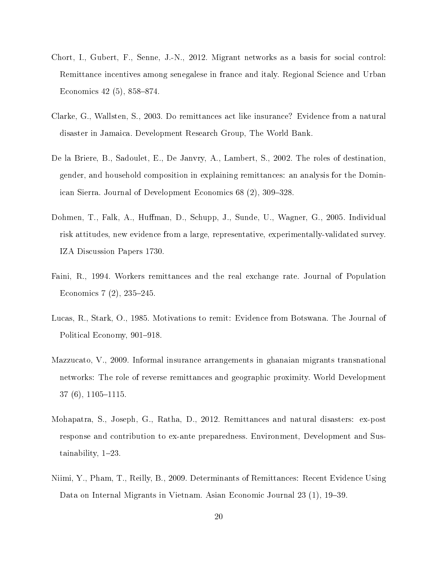- Chort, I., Gubert, F., Senne, J.-N., 2012. Migrant networks as a basis for social control: Remittance incentives among senegalese in france and italy. Regional Science and Urban Economics  $42(5)$ ,  $858-874$ .
- Clarke, G., Wallsten, S., 2003. Do remittances act like insurance? Evidence from a natural disaster in Jamaica. Development Research Group, The World Bank.
- De la Briere, B., Sadoulet, E., De Janvry, A., Lambert, S., 2002. The roles of destination, gender, and household composition in explaining remittances: an analysis for the Dominican Sierra. Journal of Development Economics 68 (2), 309–328.
- Dohmen, T., Falk, A., Huffman, D., Schupp, J., Sunde, U., Wagner, G., 2005. Individual risk attitudes, new evidence from a large, representative, experimentally-validated survey. IZA Discussion Papers 1730.
- Faini, R., 1994. Workers remittances and the real exchange rate. Journal of Population Economics  $7(2)$ ,  $235-245$ .
- Lucas, R., Stark, O., 1985. Motivations to remit: Evidence from Botswana. The Journal of Political Economy, 901–918.
- Mazzucato, V., 2009. Informal insurance arrangements in ghanaian migrants transnational networks: The role of reverse remittances and geographic proximity. World Development  $37(6)$ ,  $1105-1115$ .
- Mohapatra, S., Joseph, G., Ratha, D., 2012. Remittances and natural disasters: ex-post response and contribution to ex-ante preparedness. Environment, Development and Sustainability,  $1-23$ .
- Niimi, Y., Pham, T., Reilly, B., 2009. Determinants of Remittances: Recent Evidence Using Data on Internal Migrants in Vietnam. Asian Economic Journal 23 (1), 19–39.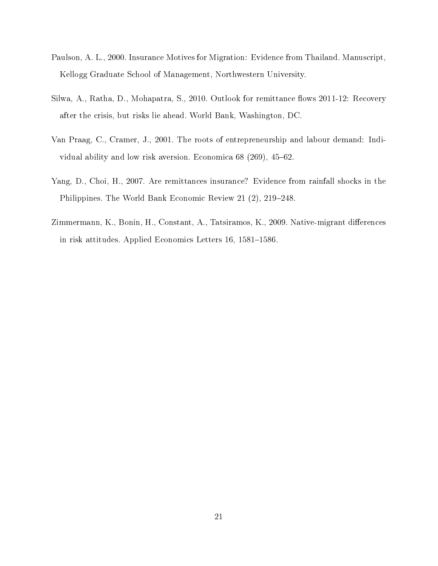- Paulson, A. L., 2000. Insurance Motives for Migration: Evidence from Thailand. Manuscript, Kellogg Graduate School of Management, Northwestern University.
- Silwa, A., Ratha, D., Mohapatra, S., 2010. Outlook for remittance flows 2011-12: Recovery after the crisis, but risks lie ahead. World Bank, Washington, DC.
- Van Praag, C., Cramer, J., 2001. The roots of entrepreneurship and labour demand: Individual ability and low risk aversion. Economica  $68$  (269), 45–62.
- Yang, D., Choi, H., 2007. Are remittances insurance? Evidence from rainfall shocks in the Philippines. The World Bank Economic Review 21 (2), 219–248.
- Zimmermann, K., Bonin, H., Constant, A., Tatsiramos, K., 2009. Native-migrant differences in risk attitudes. Applied Economics Letters 16, 1581–1586.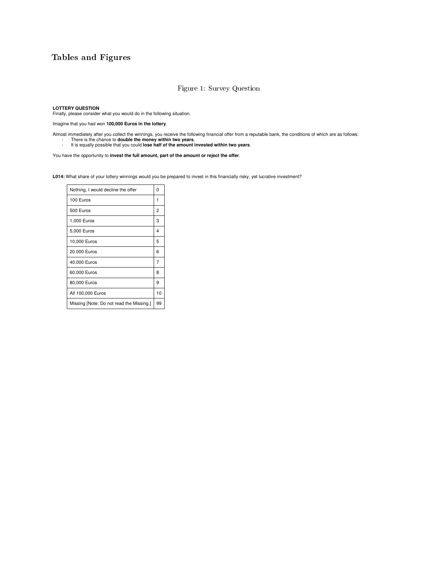### Tables and Figures

#### Figure 1: Survey Question

**LOTTERY QUESTION**  Finally, please consider what you would do in the following situation.

Imagine that you had won **100,000 Euros in the lottery**.

Almost immediately after you collect the winnings, you receive the following financial offer from a reputable bank, the conditions of which are as follows:<br>- There is the chance to **double the money within two years.**<br>- It

You have the opportunity to **invest the full amount, part of the amount or reject the offer**.

L014: What share of your lottery winnings would you be prepared to invest in this financially risky, yet lucrative investment?

| Nothing, I would decline the offer       | ŋ  |
|------------------------------------------|----|
| 100 Euros                                | 1  |
| 500 Euros                                | 2  |
| 1,000 Euros                              | 3  |
| 5,000 Euros                              | 4  |
| 10,000 Euros                             | 5  |
| 20.000 Euros                             | 6  |
| 40.000 Euros                             | 7  |
| 60,000 Euros                             | 8  |
| 80,000 Euros                             | 9  |
| All 100,000 Euros                        | 10 |
| Missing [Note: Do not read the Missing.] | 99 |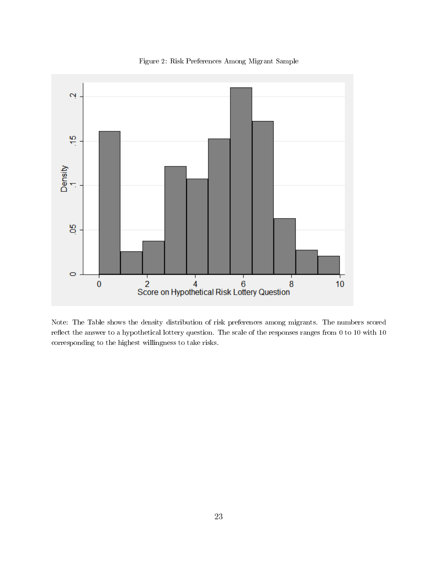

Figure 2: Risk Preferences Among Migrant Sample

Note: The Table shows the density distribution of risk preferences among migrants. The numbers scored reflect the answer to a hypothetical lottery question. The scale of the responses ranges from 0 to 10 with 10 corresponding to the highest willingness to take risks.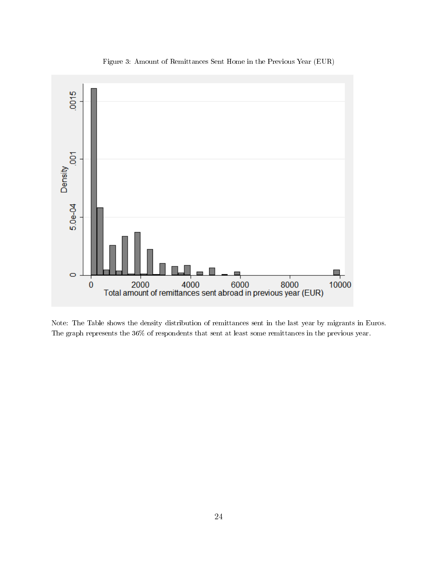

Figure 3: Amount of Remittances Sent Home in the Previous Year (EUR)

Note: The Table shows the density distribution of remittances sent in the last year by migrants in Euros. The graph represents the 36% of respondents that sent at least some remittances in the previous year.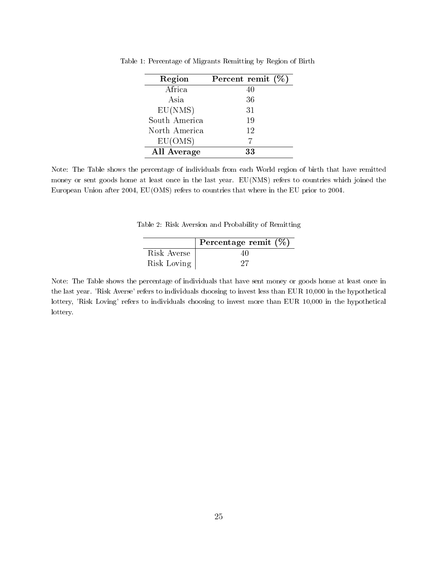| Region        | Percent remit $(\%)$ |
|---------------|----------------------|
| Africa        | 40                   |
| Asia          | 36                   |
| EU(NMS)       | 31                   |
| South America | 19                   |
| North America | 12                   |
| EU(OMS)       |                      |
| All Average   | 33                   |

Table 1: Percentage of Migrants Remitting by Region of Birth

Note: The Table shows the percentage of individuals from each World region of birth that have remitted money or sent goods home at least once in the last year. EU(NMS) refers to countries which joined the European Union after 2004, EU(OMS) refers to countries that where in the EU prior to 2004.

Table 2: Risk Aversion and Probability of Remitting

|             | Percentage remit $(\%)$ |
|-------------|-------------------------|
| Risk Averse | 40                      |
| Risk Loving | .77                     |

Note: The Table shows the percentage of individuals that have sent money or goods home at least once in the last year. 'Risk Averse' refers to individuals choosing to invest less than EUR 10,000 in the hypothetical lottery, 'Risk Loving' refers to individuals choosing to invest more than EUR 10,000 in the hypothetical lottery.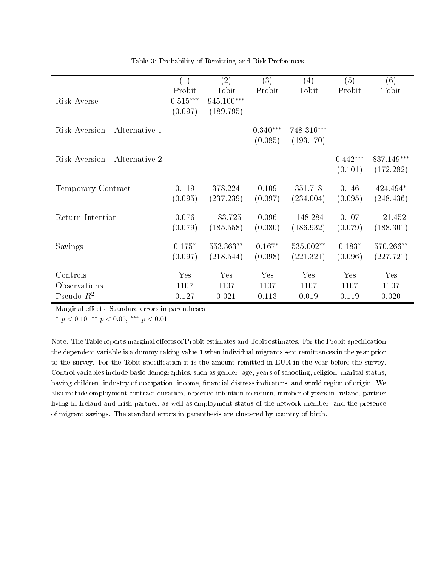|                               | $\left( 1\right)$ | $\left( 2\right)$ | (3)        | $\left( 4\right)$ | (5)        | (6)        |
|-------------------------------|-------------------|-------------------|------------|-------------------|------------|------------|
|                               | Probit            | Tobit             | Probit     | Tobit             | Probit     | Tobit      |
| Risk Averse                   | $0.515***$        | 945.100***        |            |                   |            |            |
|                               | (0.097)           | (189.795)         |            |                   |            |            |
|                               |                   |                   |            |                   |            |            |
| Risk Aversion - Alternative 1 |                   |                   | $0.340***$ | 748.316***        |            |            |
|                               |                   |                   | (0.085)    | (193.170)         |            |            |
|                               |                   |                   |            |                   |            |            |
| Risk Aversion - Alternative 2 |                   |                   |            |                   | $0.442***$ | 837.149*** |
|                               |                   |                   |            |                   | (0.101)    | (172.282)  |
|                               |                   |                   |            |                   |            |            |
| Temporary Contract            | 0.119             | 378.224           | 0.109      | 351.718           | 0.146      | 424.494*   |
|                               | (0.095)           | (237.239)         | (0.097)    | (234.004)         | (0.095)    | (248.436)  |
|                               |                   |                   |            |                   |            |            |
| Return Intention              | 0.076             | $-183.725$        | 0.096      | $-148.284$        | 0.107      | $-121.452$ |
|                               | (0.079)           | (185.558)         | (0.080)    | (186.932)         | (0.079)    | (188.301)  |
| Savings                       | $0.175*$          | 553.363**         | $0.167*$   | 535.002**         | $0.183*$   | 570.266**  |
|                               |                   |                   |            |                   |            |            |
|                               | (0.097)           | (218.544)         | (0.098)    | (221.321)         | (0.096)    | (227.721)  |
| Controls                      | Yes               | Yes               | Yes        | Yes               | Yes        | Yes        |
| Observations                  | 1107              | 1107              | 1107       | 1107              | 1107       | 1107       |
| Pseudo $R^2$                  | 0.127             | 0.021             | 0.113      | 0.019             | 0.119      | 0.020      |

Table 3: Probability of Remitting and Risk Preferences

\*  $p < 0.10$ , \*\*  $p < 0.05$ , \*\*\*  $p < 0.01$ 

Note: The Table reports marginal effects of Probit estimates and Tobit estimates. For the Probit specification the dependent variable is a dummy taking value 1 when individual migrants sent remittances in the year prior to the survey. For the Tobit specification it is the amount remitted in EUR in the year before the survey. Control variables include basic demographics, such as gender, age, years of schooling, religion, marital status, having children, industry of occupation, income, financial distress indicators, and world region of origin. We also include employment contract duration, reported intention to return, number of years in Ireland, partner living in Ireland and Irish partner, as well as employment status of the network member, and the presence of migrant savings. The standard errors in parenthesis are clustered by country of birth.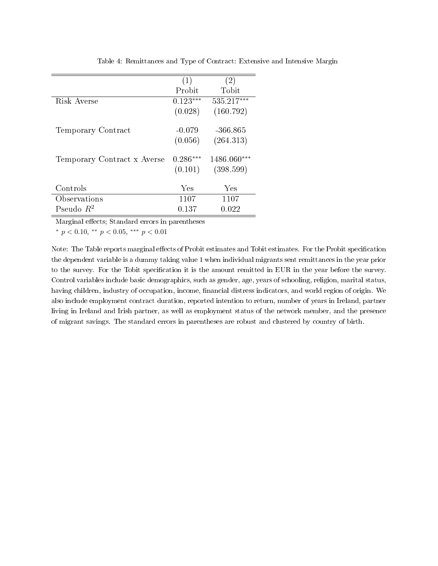|                             | (1)        | (2)         |
|-----------------------------|------------|-------------|
|                             | Probit     | Tobit       |
| Risk Averse                 | $0.123***$ | 535.217***  |
|                             | (0.028)    | (160.792)   |
| Temporary Contract          | $-0.079$   | -366.865    |
|                             | (0.056)    | (264.313)   |
| Temporary Contract x Averse | $0.286***$ | 1486.060*** |
|                             | (0.101)    | (398.599)   |
| Controls                    | Yes        | Yes         |
| Observations                | 1107       | 1107        |
| Pseudo $R^2$                | 0.137      | 0.022       |

Table 4: Remittances and Type of Contract: Extensive and Intensive Margin

\*  $p < 0.10$ , \*\*  $p < 0.05$ , \*\*\*  $p < 0.01$ 

Note: The Table reports marginal effects of Probit estimates and Tobit estimates. For the Probit specification the dependent variable is a dummy taking value 1 when individual migrants sent remittances in the year prior to the survey. For the Tobit specification it is the amount remitted in EUR in the year before the survey. Control variables include basic demographics, such as gender, age, years of schooling, religion, marital status, having children, industry of occupation, income, financial distress indicators, and world region of origin. We also include employment contract duration, reported intention to return, number of years in Ireland, partner living in Ireland and Irish partner, as well as employment status of the network member, and the presence of migrant savings. The standard errors in parentheses are robust and clustered by country of birth.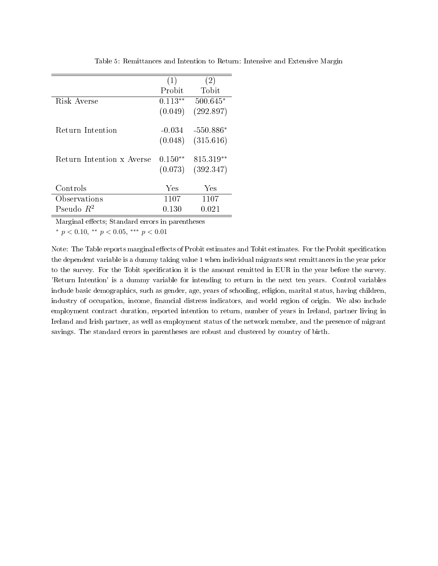|                           | (1)       | $\left( 2\right)$ |
|---------------------------|-----------|-------------------|
|                           | Probit    | Tobit             |
| Risk Averse               | $0.113**$ | $500.645*$        |
|                           | (0.049)   | (292.897)         |
| Return Intention          | $-0.034$  | $-550.886*$       |
|                           |           |                   |
|                           | (0.048)   | (315.616)         |
| Return Intention x Averse | $0.150**$ | 815.319**         |
|                           | (0.073)   | (392.347)         |
|                           |           |                   |
| Controls                  | Yes       | Yes               |
| Observations              | 1107      | 1107              |
| Pseudo $R^2$              | 0.130     | 0.021             |

Table 5: Remittances and Intention to Return: Intensive and Extensive Margin

\*  $p < 0.10$ , \*\*  $p < 0.05$ , \*\*\*  $p < 0.01$ 

Note: The Table reports marginal effects of Probit estimates and Tobit estimates. For the Probit specification the dependent variable is a dummy taking value 1 when individual migrants sent remittances in the year prior to the survey. For the Tobit specification it is the amount remitted in EUR in the year before the survey. 'Return Intention' is a dummy variable for intending to return in the next ten years. Control variables include basic demographics, such as gender, age, years of schooling, religion, marital status, having children, industry of occupation, income, financial distress indicators, and world region of origin. We also include employment contract duration, reported intention to return, number of years in Ireland, partner living in Ireland and Irish partner, as well as employment status of the network member, and the presence of migrant savings. The standard errors in parentheses are robust and clustered by country of birth.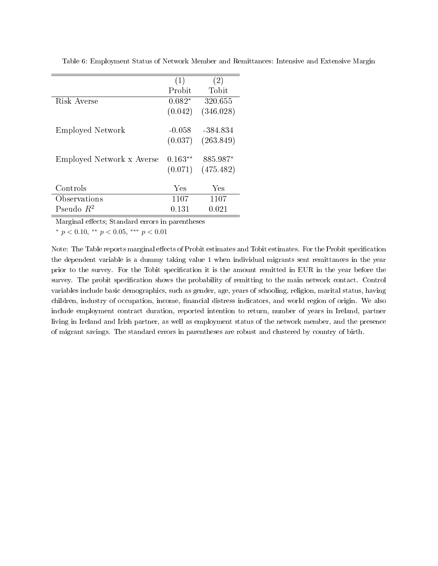|                           | (1)       | (2)       |
|---------------------------|-----------|-----------|
|                           | Probit    | Tobit     |
| Risk Averse               | $0.082*$  | 320.655   |
|                           | (0.042)   | (346.028) |
|                           |           |           |
| Employed Network          | $-0.058$  | -384.834  |
|                           | (0.037)   | (263.849) |
| Employed Network x Averse | $0.163**$ | 885.987*  |
|                           | (0.071)   | (475.482) |
|                           | Yes       | Yes       |
| Controls                  |           |           |
| Observations              | 1107      | 1107      |
| Pseudo $R^2$              | 0.131     | 0.021     |

Table 6: Employment Status of Network Member and Remittances: Intensive and Extensive Margin

\*  $p < 0.10$ , \*\*  $p < 0.05$ , \*\*\*  $p < 0.01$ 

Note: The Table reports marginal effects of Probit estimates and Tobit estimates. For the Probit specification the dependent variable is a dummy taking value 1 when individual migrants sent remittances in the year prior to the survey. For the Tobit specification it is the amount remitted in EUR in the year before the survey. The probit specification shows the probability of remitting to the main network contact. Control variables include basic demographics, such as gender, age, years of schooling, religion, marital status, having children, industry of occupation, income, financial distress indicators, and world region of origin. We also include employment contract duration, reported intention to return, number of years in Ireland, partner living in Ireland and Irish partner, as well as employment status of the network member, and the presence of migrant savings. The standard errors in parentheses are robust and clustered by country of birth.